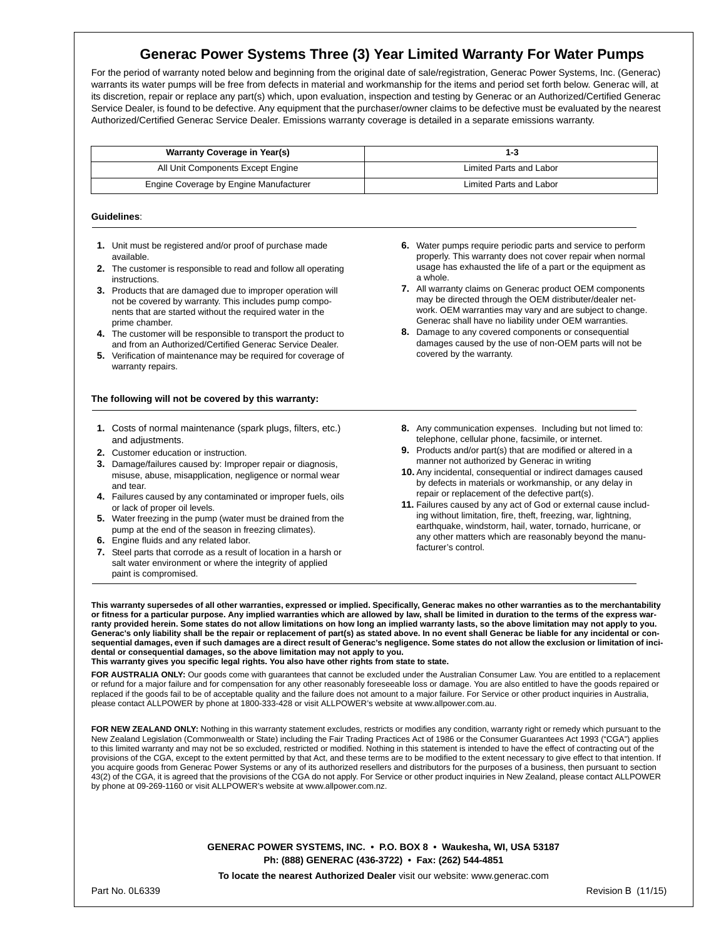# **Generac Power Systems Three (3) Year Limited Warranty For Water Pumps**

For the period of warranty noted below and beginning from the original date of sale/registration, Generac Power Systems, Inc. (Generac) warrants its water pumps will be free from defects in material and workmanship for the items and period set forth below. Generac will, at its discretion, repair or replace any part(s) which, upon evaluation, inspection and testing by Generac or an Authorized/Certified Generac Service Dealer, is found to be defective. Any equipment that the purchaser/owner claims to be defective must be evaluated by the nearest Authorized/Certified Generac Service Dealer. Emissions warranty coverage is detailed in a separate emissions warranty.

| Warranty Coverage in Year(s)           | 1-3                     |
|----------------------------------------|-------------------------|
| All Unit Components Except Engine      | Limited Parts and Labor |
| Engine Coverage by Engine Manufacturer | Limited Parts and Labor |

### **Guidelines**:

- **1.** Unit must be registered and/or proof of purchase made available.
- **2.** The customer is responsible to read and follow all operating instructions.
- **3.** Products that are damaged due to improper operation will not be covered by warranty. This includes pump components that are started without the required water in the prime chamber.
- **4.** The customer will be responsible to transport the product to and from an Authorized/Certified Generac Service Dealer.
- **5.** Verification of maintenance may be required for coverage of warranty repairs.

### **The following will not be covered by this warranty:**

- **1.** Costs of normal maintenance (spark plugs, filters, etc.) and adjustments.
- **2.** Customer education or instruction.
- **3.** Damage/failures caused by: Improper repair or diagnosis, misuse, abuse, misapplication, negligence or normal wear and tear.
- **4.** Failures caused by any contaminated or improper fuels, oils or lack of proper oil levels.
- **5.** Water freezing in the pump (water must be drained from the pump at the end of the season in freezing climates).
- **6.** Engine fluids and any related labor.
- **7.** Steel parts that corrode as a result of location in a harsh or salt water environment or where the integrity of applied paint is compromised.
- **6.** Water pumps require periodic parts and service to perform properly. This warranty does not cover repair when normal usage has exhausted the life of a part or the equipment as a whole.
- **7.** All warranty claims on Generac product OEM components may be directed through the OEM distributer/dealer network. OEM warranties may vary and are subject to change. Generac shall have no liability under OEM warranties.
- **8.** Damage to any covered components or consequential damages caused by the use of non-OEM parts will not be covered by the warranty.
- **8.** Any communication expenses. Including but not limed to: telephone, cellular phone, facsimile, or internet.
- **9.** Products and/or part(s) that are modified or altered in a manner not authorized by Generac in writing
- **10.** Any incidental, consequential or indirect damages caused by defects in materials or workmanship, or any delay in repair or replacement of the defective part(s).
- **11.** Failures caused by any act of God or external cause including without limitation, fire, theft, freezing, war, lightning, earthquake, windstorm, hail, water, tornado, hurricane, or any other matters which are reasonably beyond the manufacturer's control.

**This warranty supersedes of all other warranties, expressed or implied. Specifically, Generac makes no other warranties as to the merchantability**  or fitness for a particular purpose. Any implied warranties which are allowed by law, shall be limited in duration to the terms of the express war-<br>ranty provided herein. Some states do not allow limitations on how long an **Generac's only liability shall be the repair or replacement of part(s) as stated above. In no event shall Generac be liable for any incidental or consequential damages, even if such damages are a direct result of Generac's negligence. Some states do not allow the exclusion or limitation of incidental or consequential damages, so the above limitation may not apply to you.** 

**This warranty gives you specific legal rights. You also have other rights from state to state.** 

**FOR AUSTRALIA ONLY:** Our goods come with guarantees that cannot be excluded under the Australian Consumer Law. You are entitled to a replacement or refund for a major failure and for compensation for any other reasonably foreseeable loss or damage. You are also entitled to have the goods repaired or replaced if the goods fail to be of acceptable quality and the failure does not amount to a major failure. For Service or other product inquiries in Australia, please contact ALLPOWER by phone at 1800-333-428 or visit ALLPOWER's website at www.allpower.com.au.

FOR NEW ZEALAND ONLY: Nothing in this warranty statement excludes, restricts or modifies any condition, warranty right or remedy which pursuant to the New Zealand Legislation (Commonwealth or State) including the Fair Trading Practices Act of 1986 or the Consumer Guarantees Act 1993 ("CGA") applies to this limited warranty and may not be so excluded, restricted or modified. Nothing in this statement is intended to have the effect of contracting out of the provisions of the CGA, except to the extent permitted by that Act, and these terms are to be modified to the extent necessary to give effect to that intention. If you acquire goods from Generac Power Systems or any of its authorized resellers and distributors for the purposes of a business, then pursuant to section 43(2) of the CGA, it is agreed that the provisions of the CGA do not apply. For Service or other product inquiries in New Zealand, please contact ALLPOWER by phone at 09-269-1160 or visit ALLPOWER's website at www.allpower.com.nz.

> **GENERAC POWER SYSTEMS, INC. • P.O. BOX 8 • Waukesha, WI, USA 53187 Ph: (888) GENERAC (436-3722) • Fax: (262) 544-4851**

**To locate the nearest Authorized Dealer** visit our website: www.generac.com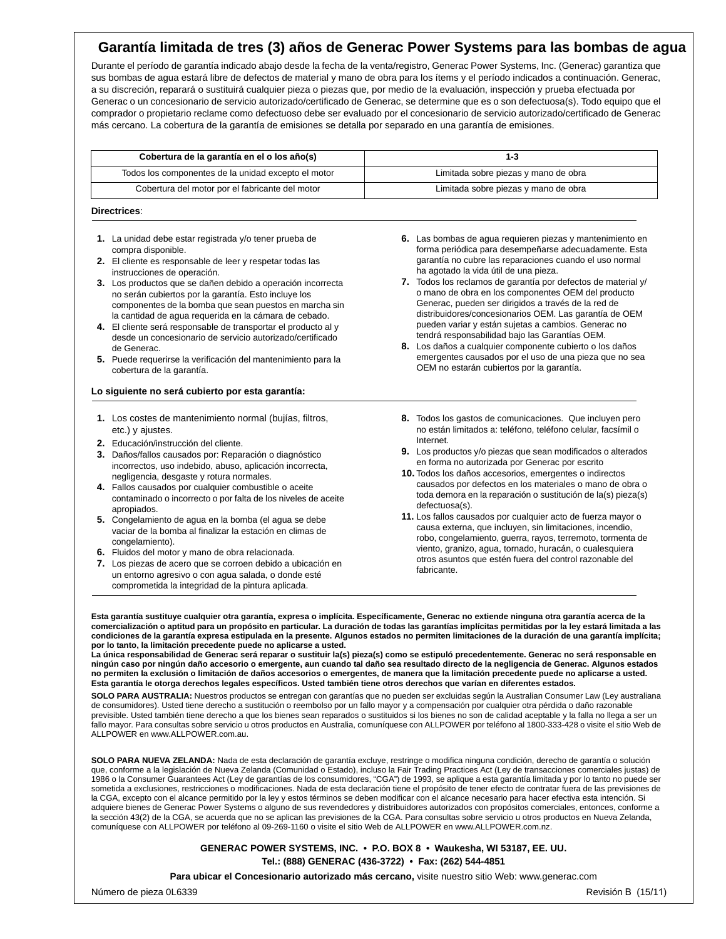## **Garantía limitada de tres (3) años de Generac Power Systems para las bombas de agua**

Durante el período de garantía indicado abajo desde la fecha de la venta/registro, Generac Power Systems, Inc. (Generac) garantiza que sus bombas de agua estará libre de defectos de material y mano de obra para los ítems y el período indicados a continuación. Generac, a su discreción, reparará o sustituirá cualquier pieza o piezas que, por medio de la evaluación, inspección y prueba efectuada por Generac o un concesionario de servicio autorizado/certificado de Generac, se determine que es o son defectuosa(s). Todo equipo que el comprador o propietario reclame como defectuoso debe ser evaluado por el concesionario de servicio autorizado/certificado de Generac más cercano. La cobertura de la garantía de emisiones se detalla por separado en una garantía de emisiones.

| Cobertura de la garantía en el o los año(s)         | 1-3                                  |
|-----------------------------------------------------|--------------------------------------|
| Todos los componentes de la unidad excepto el motor | Limitada sobre piezas y mano de obra |
| Cobertura del motor por el fabricante del motor     | Limitada sobre piezas y mano de obra |

### **Directrices**:

- **1.** La unidad debe estar registrada y/o tener prueba de compra disponible.
- **2.** El cliente es responsable de leer y respetar todas las instrucciones de operación.
- **3.** Los productos que se dañen debido a operación incorrecta no serán cubiertos por la garantía. Esto incluye los componentes de la bomba que sean puestos en marcha sin la cantidad de agua requerida en la cámara de cebado.
- **4.** El cliente será responsable de transportar el producto al y desde un concesionario de servicio autorizado/certificado de Generac.
- **5.** Puede requerirse la verificación del mantenimiento para la cobertura de la garantía.

## **Lo siguiente no será cubierto por esta garantía:**

- **1.** Los costes de mantenimiento normal (bujías, filtros, etc.) y ajustes.
- **2.** Educación/instrucción del cliente.
- **3.** Daños/fallos causados por: Reparación o diagnóstico incorrectos, uso indebido, abuso, aplicación incorrecta, negligencia, desgaste y rotura normales.
- **4.** Fallos causados por cualquier combustible o aceite contaminado o incorrecto o por falta de los niveles de aceite apropiados.
- **5.** Congelamiento de agua en la bomba (el agua se debe vaciar de la bomba al finalizar la estación en climas de congelamiento).
- **6.** Fluidos del motor y mano de obra relacionada.
- **7.** Los piezas de acero que se corroen debido a ubicación en un entorno agresivo o con agua salada, o donde esté comprometida la integridad de la pintura aplicada.
- **6.** Las bombas de agua requieren piezas y mantenimiento en forma periódica para desempeñarse adecuadamente. Esta garantía no cubre las reparaciones cuando el uso normal ha agotado la vida útil de una pieza.
- **7.** Todos los reclamos de garantía por defectos de material y/ o mano de obra en los componentes OEM del producto Generac, pueden ser dirigidos a través de la red de distribuidores/concesionarios OEM. Las garantía de OEM pueden variar y están sujetas a cambios. Generac no tendrá responsabilidad bajo las Garantías OEM.
- **8.** Los daños a cualquier componente cubierto o los daños emergentes causados por el uso de una pieza que no sea OEM no estarán cubiertos por la garantía.
- **8.** Todos los gastos de comunicaciones. Que incluyen pero no están limitados a: teléfono, teléfono celular, facsímil o Internet.
- **9.** Los productos y/o piezas que sean modificados o alterados en forma no autorizada por Generac por escrito
- **10.** Todos los daños accesorios, emergentes o indirectos causados por defectos en los materiales o mano de obra o toda demora en la reparación o sustitución de la(s) pieza(s) defectuosa(s).
- **11.** Los fallos causados por cualquier acto de fuerza mayor o causa externa, que incluyen, sin limitaciones, incendio, robo, congelamiento, guerra, rayos, terremoto, tormenta de viento, granizo, agua, tornado, huracán, o cualesquiera otros asuntos que estén fuera del control razonable del fabricante.

**Esta garantía sustituye cualquier otra garantía, expresa o implícita. Específicamente, Generac no extiende ninguna otra garantía acerca de la comercialización o aptitud para un propósito en particular. La duración de todas las garantías implícitas permitidas por la ley estará limitada a las condiciones de la garantía expresa estipulada en la presente. Algunos estados no permiten limitaciones de la duración de una garantía implícita; por lo tanto, la limitación precedente puede no aplicarse a usted.** 

**La única responsabilidad de Generac será reparar o sustituir la(s) pieza(s) como se estipuló precedentemente. Generac no será responsable en ningún caso por ningún daño accesorio o emergente, aun cuando tal daño sea resultado directo de la negligencia de Generac. Algunos estados no permiten la exclusión o limitación de daños accesorios o emergentes, de manera que la limitación precedente puede no aplicarse a usted. Esta garantía le otorga derechos legales específicos. Usted también tiene otros derechos que varían en diferentes estados.** 

**SOLO PARA AUSTRALIA:** Nuestros productos se entregan con garantías que no pueden ser excluidas según la Australian Consumer Law (Ley australiana de consumidores). Usted tiene derecho a sustitución o reembolso por un fallo mayor y a compensación por cualquier otra pérdida o daño razonable previsible. Usted también tiene derecho a que los bienes sean reparados o sustituidos si los bienes no son de calidad aceptable y la falla no llega a ser un fallo mayor. Para consultas sobre servicio u otros productos en Australia, comuníquese con ALLPOWER por teléfono al 1800-333-428 o visite el sitio Web de ALLPOWER en www.ALLPOWER.com.au.

**SOLO PARA NUEVA ZELANDA:** Nada de esta declaración de garantía excluye, restringe o modifica ninguna condición, derecho de garantía o solución que, conforme a la legislación de Nueva Zelanda (Comunidad o Estado), incluso la Fair Trading Practices Act (Ley de transacciones comerciales justas) de 1986 o la Consumer Guarantees Act (Ley de garantías de los consumidores, "CGA") de 1993, se aplique a esta garantía limitada y por lo tanto no puede ser sometida a exclusiones, restricciones o modificaciones. Nada de esta declaración tiene el propósito de tener efecto de contratar fuera de las previsiones de la CGA, excepto con el alcance permitido por la ley y estos términos se deben modificar con el alcance necesario para hacer efectiva esta intención. Si adquiere bienes de Generac Power Systems o alguno de sus revendedores y distribuidores autorizados con propósitos comerciales, entonces, conforme a la sección 43(2) de la CGA, se acuerda que no se aplican las previsiones de la CGA. Para consultas sobre servicio u otros productos en Nueva Zelanda, comuníquese con ALLPOWER por teléfono al 09-269-1160 o visite el sitio Web de ALLPOWER en www.ALLPOWER.com.nz.

## **GENERAC POWER SYSTEMS, INC. • P.O. BOX 8 • Waukesha, WI 53187, EE. UU. Tel.: (888) GENERAC (436-3722) • Fax: (262) 544-4851**

**Para ubicar el Concesionario autorizado más cercano,** visite nuestro sitio Web: www.generac.com

Número de pieza 0L6339 Revisión B (15/11)